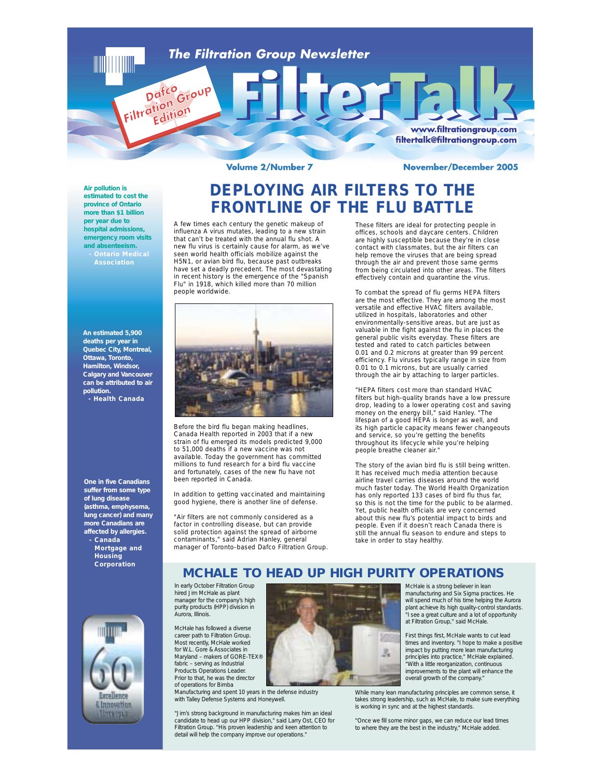

**Volume 2/Number 7** 

**November/December 2005** 

www.filtrationgroup.com filtertalk@filtrationgroup.com

## **Air pollution is estimated to cost the province of Ontario more than \$1 billion per year due to hospital admissions, emergency room visits and absenteeism.**

Filtration Group

**An estimated 5,900 deaths per year in Quebec City, Montreal, Ottawa, Toronto, Hamilton, Windsor, Calgary and Vancouver can be attributed to air pollution. - Health Canada**

**One in five Canadians suffer from some type of lung disease (asthma, emphysema, lung cancer) and many more Canadians are affected by allergies. - Canada Mortgage and**

**Housing Corporation**



**DEPLOYING AIR FILTERS TO THE FRONTLINE OF THE FLU BATTLE**

A few times each century the genetic makeup of influenza A virus mutates, leading to a new strain that can't be treated with the annual flu shot. A new flu virus is certainly cause for alarm, as we've seen world health officials mobilize against the H5N1, or avian bird flu, because past outbreaks have set a deadly precedent. The most devastating in recent history is the emergence of the "Spanish Flu" in 1918, which killed more than 70 million people worldwide.



Before the bird flu began making headlines, Canada Health reported in 2003 that if a new strain of flu emerged its models predicted 9,000 to 51,000 deaths if a new vaccine was not available. Today the government has committed millions to fund research for a bird flu vaccine and fortunately, cases of the new flu have not been reported in Canada.

In addition to getting vaccinated and maintaining good hygiene, there is another line of defense.

"Air filters are not commonly considered as a factor in controlling disease, but can provide solid protection against the spread of airborne contaminants," said Adrian Hanley, general manager of Toronto-based Dafco Filtration Group. These filters are ideal for protecting people in offices, schools and daycare centers. Children are highly susceptible because they're in close contact with classmates, but the air filters can help remove the viruses that are being spread through the air and prevent those same germs from being circulated into other areas. The filters effectively contain and quarantine the virus.

To combat the spread of flu germs HEPA filters are the most effective. They are among the most versatile and effective HVAC filters available, utilized in hospitals, laboratories and other environmentally-sensitive areas, but are just as valuable in the fight against the flu in places the general public visits everyday. These filters are tested and rated to catch particles between 0.01 and 0.2 microns at greater than 99 percent efficiency. Flu viruses typically range in size from 0.01 to 0.1 microns, but are usually carried through the air by attaching to larger particles.

"HEPA filters cost more than standard HVAC filters but high-quality brands have a low pressure drop, leading to a lower operating cost and saving money on the energy bill," said Hanley. "The lifespan of a good HEPA is longer as well, and its high particle capacity means fewer changeouts and service, so you're getting the benefits throughout its lifecycle while you're helping people breathe cleaner air."

The story of the avian bird flu is still being written. It has received much media attention because airline travel carries diseases around the world much faster today. The World Health Organization has only reported 133 cases of bird flu thus far, so this is not the time for the public to be alarmed. Yet, public health officials are very concerned about this new flu's potential impact to birds and people. Even if it doesn't reach Canada there is still the annual flu season to endure and steps to take in order to stay healthy.

# **MCHALE TO HEAD UP HIGH PURITY OPERATIONS**

In early October Filtration Group hired Jim McHale as plant manager for the company's high purity products (HPP) division in Aurora, Illinois.

McHale has followed a diverse career path to Filtration Group. Most recently, McHale worked for W.L. Gore & Associates in Maryland – makers of GORE-TEX® fabric – serving as Industrial Products Operations Leader. Prior to that, he was the director of operations for Bimba

Manufacturing and spent 10 years in the defense industry with Talley Defense Systems and Honeywell.

"Jim's strong background in manufacturing makes him an ideal candidate to head up our HPP division," said Larry Ost, CEO for Filtration Group. "His proven leadership and keen attention to detail will help the company improve our operations."



McHale is a strong believer in lean manufacturing and Six Sigma practices. He will spend much of his time helping the Aurora plant achieve its high quality-control standards. "I see a great culture and a lot of opportunity at Filtration Group," said McHale.

First things first, McHale wants to cut lead times and inventory. "I hope to make a positive impact by putting more lean manufacturing principles into practice," McHale explained. "With a little reorganization, continuous improvements to the plant will enhance the overall growth of the company."

While many lean manufacturing principles are common sense, it takes strong leadership, such as McHale, to make sure everything is working in sync and at the highest standards.

"Once we fill some minor gaps, we can reduce our lead times to where they are the best in the industry," McHale added.